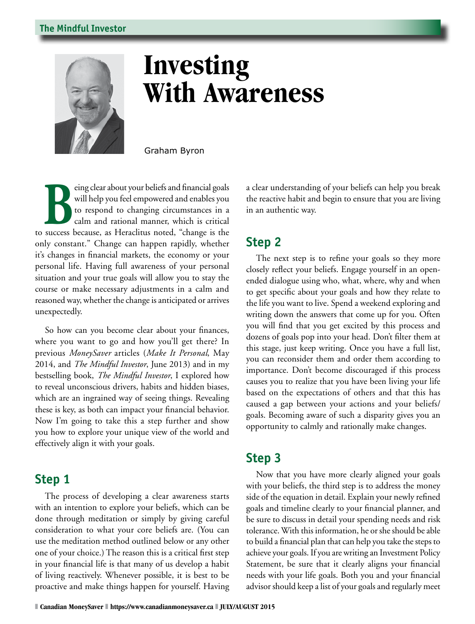#### **The Mindful Investor**



# **Investing With Awareness**

Graham Byron

Experiment of the same of the same of the same of the same of the same of the same of the same of the same of the same of the same of the same of the same of the same of the same of the same of the same of the same of the will help you feel empowered and enables you to respond to changing circumstances in a calm and rational manner, which is critical to success because, as Heraclitus noted, "change is the only constant." Change can happen rapidly, whether it's changes in financial markets, the economy or your personal life. Having full awareness of your personal situation and your true goals will allow you to stay the course or make necessary adjustments in a calm and reasoned way, whether the change is anticipated or arrives unexpectedly.

So how can you become clear about your finances, where you want to go and how you'll get there? In previous *MoneySaver* articles (*Make It Personal*, May 2014, and *The Mindful Investor*, June 2013) and in my bestselling book, *The Mindful Investor*, I explored how to reveal unconscious drivers, habits and hidden biases, which are an ingrained way of seeing things. Revealing these is key, as both can impact your financial behavior. Now I'm going to take this a step further and show you how to explore your unique view of the world and effectively align it with your goals.

### **Step 1**

The process of developing a clear awareness starts with an intention to explore your beliefs, which can be done through meditation or simply by giving careful consideration to what your core beliefs are. (You can use the meditation method outlined below or any other one of your choice.) The reason this is a critical first step in your financial life is that many of us develop a habit of living reactively. Whenever possible, it is best to be proactive and make things happen for yourself. Having a clear understanding of your beliefs can help you break the reactive habit and begin to ensure that you are living in an authentic way.

#### **Step 2**

The next step is to refine your goals so they more closely reflect your beliefs. Engage yourself in an openended dialogue using who, what, where, why and when to get specific about your goals and how they relate to the life you want to live. Spend a weekend exploring and writing down the answers that come up for you. Often you will find that you get excited by this process and dozens of goals pop into your head. Don't filter them at this stage, just keep writing. Once you have a full list, you can reconsider them and order them according to importance. Don't become discouraged if this process causes you to realize that you have been living your life based on the expectations of others and that this has caused a gap between your actions and your beliefs/ goals. Becoming aware of such a disparity gives you an opportunity to calmly and rationally make changes.

## **Step 3**

Now that you have more clearly aligned your goals with your beliefs, the third step is to address the money side of the equation in detail. Explain your newly refined goals and timeline clearly to your financial planner, and be sure to discuss in detail your spending needs and risk tolerance. With this information, he or she should be able to build a financial plan that can help you take the steps to achieve your goals. If you are writing an Investment Policy Statement, be sure that it clearly aligns your financial needs with your life goals. Both you and your financial advisor should keep a list of your goals and regularly meet